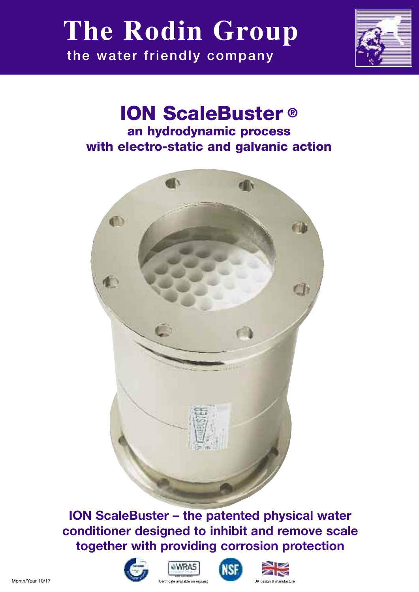# **the water friendly company The Rodin Group**



## **ION ScaleBuster ® an hydrodynamic process with electro-static and galvanic action**



**ION ScaleBuster – the patented physical water conditioner designed to inhibit and remove scale together with providing corrosion protection** 









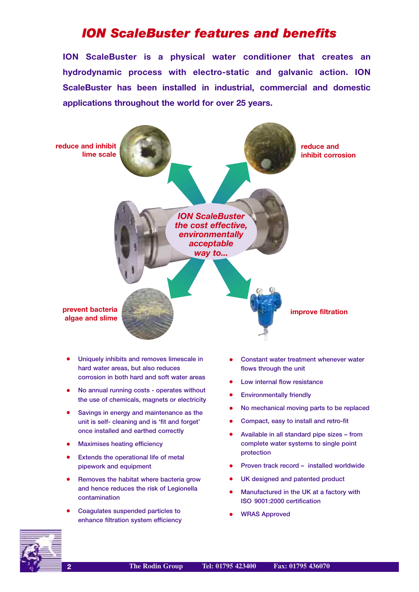## *ION ScaleBuster features and benefits*

**ION ScaleBuster is a physical water conditioner that creates an hydrodynamic process with electro-static and galvanic action. ION ScaleBuster has been installed in industrial, commercial and domestic applications throughout the world for over 25 years.**



- **• Uniquely inhibits and removes limescale in hard water areas, but also reduces corrosion in both hard and soft water areas**
- **• No annual running costs operates without the use of chemicals, magnets or electricity**
- **• Savings in energy and maintenance as the unit is self- cleaning and is 'fit and forget' once installed and earthed correctly**
- **• Maximises heating efficiency**
- **• Extends the operational life of metal pipework and equipment**
- **• Removes the habitat where bacteria grow and hence reduces the risk of Legionella contamination**
- **• Coagulates suspended particles to enhance filtration system efficiency**
- **• Constant water treatment whenever water flows through the unit**
- **• Low internal flow resistance**
- **• Environmentally friendly**
- **• No mechanical moving parts to be replaced**
- **• Compact, easy to install and retro-fit**
- **• Available in all standard pipe sizes from complete water systems to single point protection**
- **• Proven track record installed worldwide**
- **• UK designed and patented product**
- **• Manufactured in the UK at a factory with ISO 9001:2000 certification**
- **• WRAS Approved**

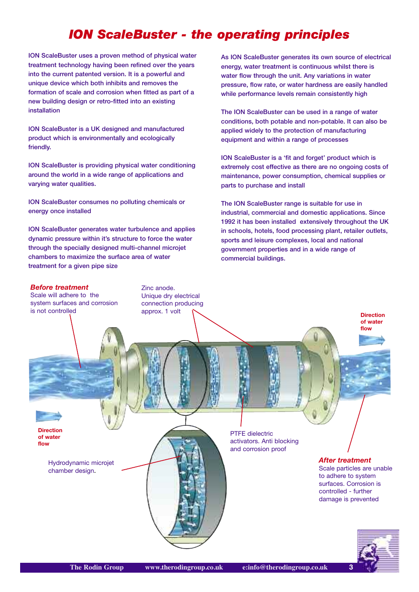## *ION ScaleBuster - the operating principles*

**ION ScaleBuster uses a proven method of physical water treatment technology having been refined over the years into the current patented version. It is a powerful and unique device which both inhibits and removes the formation of scale and corrosion when fitted as part of a new building design or retro-fitted into an existing installation**

**ION ScaleBuster is a UK designed and manufactured product which is environmentally and ecologically friendly.** 

**ION ScaleBuster is providing physical water conditioning around the world in a wide range of applications and varying water qualities.**

**ION ScaleBuster consumes no polluting chemicals or energy once installed**

**ION ScaleBuster generates water turbulence and applies dynamic pressure within it's structure to force the water through the specially designed multi-channel microjet chambers to maximize the surface area of water treatment for a given pipe size**

**As ION ScaleBuster generates its own source of electrical energy, water treatment is continuous whilst there is water flow through the unit. Any variations in water pressure, flow rate, or water hardness are easily handled while performance levels remain consistently high**

**The ION ScaleBuster can be used in a range of water conditions, both potable and non-potable. It can also be applied widely to the protection of manufacturing equipment and within a range of processes**

**ION ScaleBuster is a 'fit and forget' product which is extremely cost effective as there are no ongoing costs of maintenance, power consumption, chemical supplies or parts to purchase and install**

**The ION ScaleBuster range is suitable for use in industrial, commercial and domestic applications. Since 1992 it has been installed extensively throughout the UK in schools, hotels, food processing plant, retailer outlets, sports and leisure complexes, local and national government properties and in a wide range of commercial buildings.**

#### *Before treatment*

Scale will adhere to the system surfaces and corrosion is not controlled

Zinc anode. Unique dry electrical connection producing approx. 1 volt

**Direction of water**

**flow**

Hydrodynamic microjet chamber design.

PTFE dielectric activators. Anti blocking and corrosion proof

> *After treatment* Scale particles are unable to adhere to system surfaces. Corrosion is controlled - further damage is prevented



**Direction of water flow**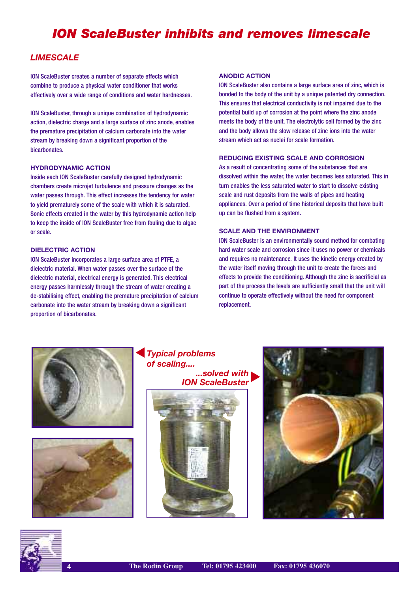## *ION ScaleBuster inhibits and removes limescale*

### *LIMESCALE*

ION ScaleBuster creates a number of separate effects which combine to produce a physical water conditioner that works effectively over a wide range of conditions and water hardnesses.

ION ScaleBuster, through a unique combination of hydrodynamic action, dielectric charge and a large surface of zinc anode, enables the premature precipitation of calcium carbonate into the water stream by breaking down a significant proportion of the bicarbonates.

#### **HYDRODYNAMIC ACTION**

Inside each ION ScaleBuster carefully designed hydrodynamic chambers create microjet turbulence and pressure changes as the water passes through. This effect increases the tendency for water to yield prematurely some of the scale with which it is saturated. Sonic effects created in the water by this hydrodynamic action help to keep the inside of ION ScaleBuster free from fouling due to algae or scale.

#### **DIELECTRIC ACTION**

ION ScaleBuster incorporates a large surface area of PTFE, a dielectric material. When water passes over the surface of the dielectric material, electrical energy is generated. This electrical energy passes harmlessly through the stream of water creating a de-stabilising effect, enabling the premature precipitation of calcium carbonate into the water stream by breaking down a significant proportion of bicarbonates.

#### **ANODIC ACTION**

ION ScaleBuster also contains a large surface area of zinc, which is bonded to the body of the unit by a unique patented dry connection. This ensures that electrical conductivity is not impaired due to the potential build up of corrosion at the point where the zinc anode meets the body of the unit. The electrolytic cell formed by the zinc and the body allows the slow release of zinc ions into the water stream which act as nuclei for scale formation.

#### **REDUCING EXISTING SCALE AND CORROSION**

As a result of concentrating some of the substances that are dissolved within the water, the water becomes less saturated. This in turn enables the less saturated water to start to dissolve existing scale and rust deposits from the walls of pipes and heating appliances. Over a period of time historical deposits that have built up can be flushed from a system.

#### **SCALE AND THE ENVIRONMENT**

ION ScaleBuster is an environmentally sound method for combating hard water scale and corrosion since it uses no power or chemicals and requires no maintenance. It uses the kinetic energy created by the water itself moving through the unit to create the forces and effects to provide the conditioning. Although the zinc is sacrificial as part of the process the levels are sufficiently small that the unit will continue to operate effectively without the need for component replacement.





*Typical problems of scaling.... ...solved with* 





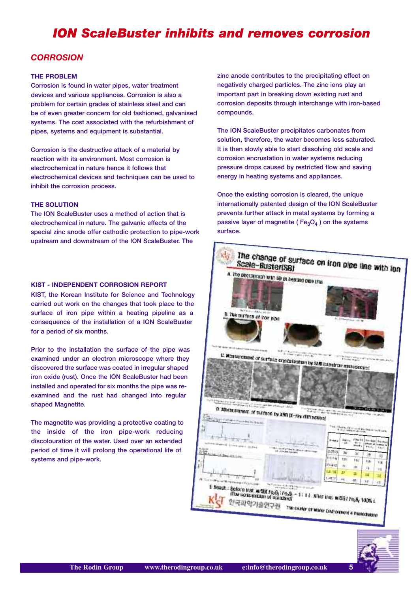## *ION ScaleBuster inhibits and removes corrosion*

### *CORROSION*

#### **THE PROBLEM**

**Corrosion is found in water pipes, water treatment devices and various appliances. Corrosion is also a problem for certain grades of stainless steel and can be of even greater concern for old fashioned, galvanised systems. The cost associated with the refurbishment of pipes, systems and equipment is substantial.**

**Corrosion is the destructive attack of a material by reaction with its environment. Most corrosion is electrochemical in nature hence it follows that electrochemical devices and techniques can be used to inhibit the corrosion process.**

#### **THE SOLUTION**

**The ION ScaleBuster uses a method of action that is electrochemical in nature. The galvanic effects of the special zinc anode offer cathodic protection to pipe-work upstream and downstream of the ION ScaleBuster. The**

#### **KIST - INDEPENDENT CORROSION REPORT**

**KIST, the Korean Institute for Science and Technology carried out work on the changes that took place to the surface of iron pipe within a heating pipeline as a consequence of the installation of a ION ScaleBuster for a period of six months.**

**Prior to the installation the surface of the pipe was examined under an electron microscope where they discovered the surface was coated in irregular shaped iron oxide (rust). Once the ION ScaleBuster had been installed and operated for six months the pipe was reexamined and the rust had changed into regular shaped Magnetite.**

**The magnetite was providing a protective coating to the inside of the iron pipe-work reducing discolouration of the water. Used over an extended period of time it will prolong the operational life of systems and pipe-work.**

**zinc anode contributes to the precipitating effect on negatively charged particles. The zinc ions play an important part in breaking down existing rust and corrosion deposits through interchange with iron-based compounds.**

**The ION ScaleBuster precipitates carbonates from solution, therefore, the water becomes less saturated. It is then slowly able to start dissolving old scale and corrosion encrustation in water systems reducing pressure drops caused by restricted flow and saving energy in heating systems and appliances.**

**Once the existing corrosion is cleared, the unique internationally patented design of the ION ScaleBuster prevents further attack in metal systems by forming a passive layer of magnetite (Fe<sub>3</sub>O<sub>4</sub>) on the systems surface.**



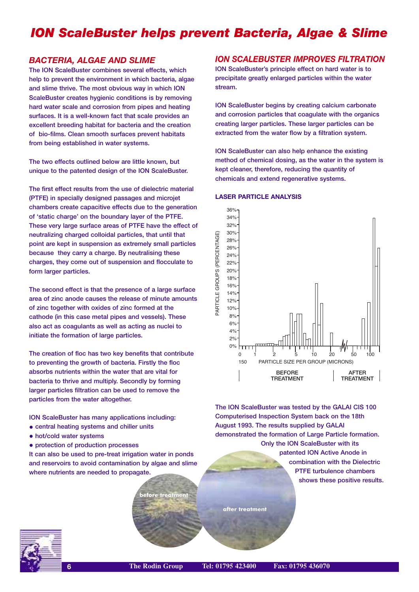## *ION ScaleBuster helps prevent Bacteria, Algae & Slime*

#### *BACTERIA, ALGAE AND SLIME*

**The ION ScaleBuster combines several effects, which help to prevent the environment in which bacteria, algae and slime thrive. The most obvious way in which ION ScaleBuster creates hygienic conditions is by removing hard water scale and corrosion from pipes and heating surfaces. It is a well-known fact that scale provides an excellent breeding habitat for bacteria and the creation of bio-films. Clean smooth surfaces prevent habitats from being established in water systems.** 

**The two effects outlined below are little known, but unique to the patented design of the ION ScaleBuster.**

**The first effect results from the use of dielectric material (PTFE) in specially designed passages and microjet chambers create capacitive effects due to the generation of 'static charge' on the boundary layer of the PTFE. These very large surface areas of PTFE have the effect of neutralizing charged colloidal particles, that until that point are kept in suspension as extremely small particles because they carry a charge. By neutralising these charges, they come out of suspension and flocculate to form larger particles.**

**The second effect is that the presence of a large surface area of zinc anode causes the release of minute amounts of zinc together with oxides of zinc formed at the cathode (in this case metal pipes and vessels). These also act as coagulants as well as acting as nuclei to initiate the formation of large particles.**

**The creation of floc has two key benefits that contribute to preventing the growth of bacteria. Firstly the floc absorbs nutrients within the water that are vital for bacteria to thrive and multiply. Secondly by forming larger particles filtration can be used to remove the particles from the water altogether.**

**ION ScaleBuster has many applications including:**

- **• central heating systems and chiller units**
- **• hot/cold water systems**
- **• protection of production processes**

**It can also be used to pre-treat irrigation water in ponds and reservoirs to avoid contamination by algae and slime where nutrients are needed to propagate.**

**before treatmen** 

### *ION SCALEBUSTER IMPROVES FILTRATION*

**ION ScaleBuster's principle effect on hard water is to precipitate greatly enlarged particles within the water stream.**

**ION ScaleBuster begins by creating calcium carbonate and corrosion particles that coagulate with the organics creating larger particles. These larger particles can be extracted from the water flow by a filtration system.** 

**ION ScaleBuster can also help enhance the existing method of chemical dosing, as the water in the system is kept cleaner, therefore, reducing the quantity of chemicals and extend regenerative systems.**

#### **LASER PARTICLE ANALYSIS**



**The ION ScaleBuster was tested by the GALAI CIS 100 Computerised Inspection System back on the 18th August 1993. The results supplied by GALAI demonstrated the formation of Large Particle formation. Only the ION ScaleBuster with its patented ION Active Anode in**

> **combination with the Dielectric PTFE turbulence chambers shows these positive results.**



**after treatment**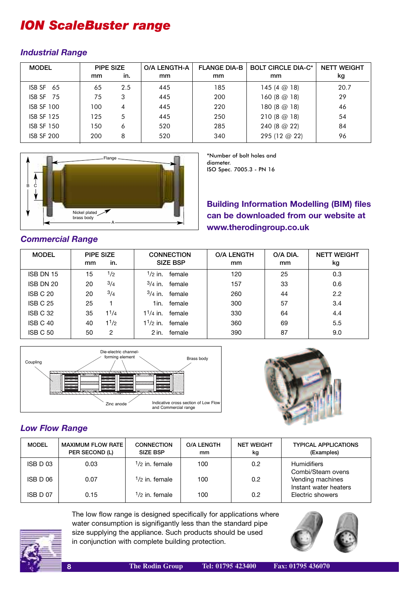## *ION ScaleBuster range*

### *Industrial Range*

| <b>MODEL</b>      | PIPE SIZE |     | <b>O/A LENGTH-A</b> | <b>FLANGE DIA-B</b> | <b>BOLT CIRCLE DIA-C*</b> | <b>NETT WEIGHT</b> |
|-------------------|-----------|-----|---------------------|---------------------|---------------------------|--------------------|
|                   | mm        | in. | mm                  | mm                  | mm                        | kg                 |
| ISBN SF 65        | 65        | 2.5 | 445                 | 185                 | 145 $(4 \odot 18)$        | 20.7               |
| ISB SF 75         | 75        | 3   | 445                 | 200                 | 160 $(8 \text{ } @ 18)$   | 29                 |
| <b>ISB SF 100</b> | 100       | 4   | 445                 | 220                 | 180 (8 @ 18)              | 46                 |
| <b>ISB SF 125</b> | 125       | 5   | 445                 | 250                 | 210(8@18)                 | 54                 |
| <b>ISB SF 150</b> | 150       | 6   | 520                 | 285                 | 240 (8 @ 22)              | 84                 |
| <b>ISB SF 200</b> | 200       | 8   | 520                 | 340                 | 295 (12 @ 22)             | 96                 |



\*Number of bolt holes and diameter.

ISO Spec. 7005.3 - PN 16

**Building Information Modelling (BIM) files can be downloaded from our website at www.therodingroup.co.uk**

### *Commercial Range*

| <b>MODEL</b>    | mm | PIPE SIZE<br>in. |               | <b>CONNECTION</b><br><b>SIZE BSP</b> | <b>O/A LENGTH</b><br>mm | O/A DIA.<br>mm | <b>NETT WEIGHT</b><br>kg |
|-----------------|----|------------------|---------------|--------------------------------------|-------------------------|----------------|--------------------------|
| ISB DN 15       | 15 | 1/2              | 1/2 in.       | female                               | 120                     | 25             | 0.3                      |
| ISB DN 20       | 20 | 3/4              | $3/4$ in.     | female                               | 157                     | 33             | 0.6                      |
| ISB C 20        | 20 | 3/4              |               | $3/4$ in. female                     | 260                     | 44             | 2.2                      |
| <b>ISB C 25</b> | 25 |                  | 1in.          | female                               | 300                     | 57             | 3.4                      |
| ISB C 32        | 35 | 11/4             | $1^{1/4}$ in. | female                               | 330                     | 64             | 4.4                      |
| ISB C 40        | 40 | 11/2             | $1^{1/2}$ in. | female                               | 360                     | 69             | 5.5                      |
| <b>ISB C 50</b> | 50 | 2                | 2 in.         | female                               | 390                     | 87             | 9.0                      |





## *Low Flow Range*

| <b>MODEL</b>        | <b>MAXIMUM FLOW RATE</b><br>PER SECOND (L) | <b>CONNECTION</b><br><b>SIZE BSP</b> | <b>O/A LENGTH</b><br>mm | <b>NET WEIGHT</b><br>kg | <b>TYPICAL APPLICATIONS</b><br>(Examples) |
|---------------------|--------------------------------------------|--------------------------------------|-------------------------|-------------------------|-------------------------------------------|
| ISB D <sub>03</sub> | 0.03                                       | $1/2$ in. female                     | 100                     | 0.2                     | <b>Humidifiers</b><br>Combi/Steam ovens   |
| ISB D 06            | 0.07                                       | $1/2$ in. female                     | 100                     | 0.2                     | Vending machines<br>Instant water heaters |
| ISB D 07            | 0.15                                       | <sup>1</sup> /2 in. female           | 100                     | 0.2                     | Electric showers                          |



The low flow range is designed specifically for applications where water consumption is signifigantly less than the standard pipe size supplying the appliance. Such products should be used in conjunction with complete building protection.

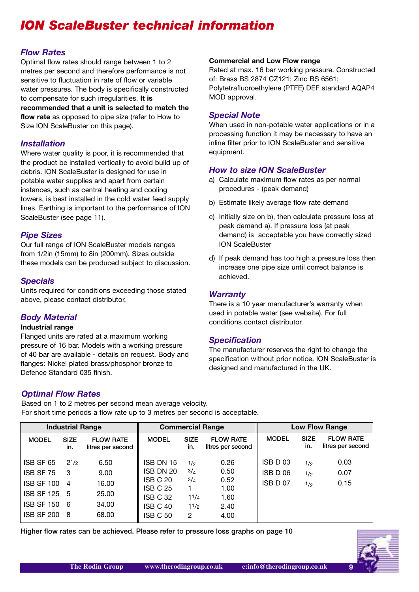## *ION ScaleBuster technical information*

### *Flow Rates*

Optimal flow rates should range between 1 to 2 metres per second and therefore performance is not sensitive to fluctuation in rate of flow or variable water pressures. The body is specifically constructed to compensate for such irregularities. **It is recommended that a unit is selected to match the**

**flow rate** as opposed to pipe size (refer to How to Size ION ScaleBuster on this page).

#### *Installation*

Where water quality is poor, it is recommended that the product be installed vertically to avoid build up of debris. ION ScaleBuster is designed for use in potable water supplies and apart from certain instances, such as central heating and cooling towers, is best installed in the cold water feed supply lines. Earthing is important to the performance of ION ScaleBuster (see page 11).

### *Pipe Sizes*

Our full range of ION ScaleBuster models ranges from 1/2in (15mm) to 8in (200mm). Sizes outside these models can be produced subject to discussion.

### *Specials*

Units required for conditions exceeding those stated above, please contact distributor.

### *Body Material*

#### **Industrial range**

Flanged units are rated at a maximum working pressure of 16 bar. Models with a working pressure of 40 bar are available - details on request. Body and flanges: Nickel plated brass/phosphor bronze to Defence Standard 035 finish.

#### **Commercial and Low Flow range**

Rated at max. 16 bar working pressure. Constructed of: Brass BS 2874 CZ121; Zinc BS 6561; Polytetrafluoroethylene (PTFE) DEF standard AQAP4 MOD approval.

#### *Special Note*

When used in non-potable water applications or in a processing function it may be necessary to have an inline filter prior to ION ScaleBuster and sensitive equipment.

#### *How to size ION ScaleBuster*

- a) Calculate maximum flow rates as per normal procedures - (peak demand)
- b) Estimate likely average flow rate demand
- c) Initially size on b), then calculate pressure loss at peak demand a). If pressure loss (at peak demand) is acceptable you have correctly sized ION ScaleBuster
- d) If peak demand has too high a pressure loss then increase one pipe size until correct balance is achieved.

#### *Warranty*

There is a 10 year manufacturer's warranty when used in potable water (see website). For full conditions contact distributor.

#### *Specification*

The manufacturer reserves the right to change the specification without prior notice. ION ScaleBuster is designed and manufactured in the UK.

#### *Optimal Flow Rates*

Based on 1 to 2 metres per second mean average velocity. For short time periods a flow rate up to 3 metres per second is acceptable.

| <b>Industrial Range</b>                                                                               |                                              |                                                  |                                                                                    |                                        | <b>Commercial Range</b><br><b>Low Flow Range</b>     |                                  |                    |                                       |
|-------------------------------------------------------------------------------------------------------|----------------------------------------------|--------------------------------------------------|------------------------------------------------------------------------------------|----------------------------------------|------------------------------------------------------|----------------------------------|--------------------|---------------------------------------|
| <b>MODEL</b>                                                                                          | <b>SIZE</b><br>in.                           | <b>FLOW RATE</b><br>litres per second            | <b>MODEL</b>                                                                       | <b>SIZE</b><br>in.                     | <b>FLOW RATE</b><br>litres per second                | <b>MODEL</b>                     | <b>SIZE</b><br>in. | <b>FLOW RATE</b><br>litres per second |
| ISB SF 65<br>ISB SF 75<br><b>ISB SF 100</b><br>ISB SF 125 5<br><b>ISB SF 150</b><br><b>ISB SF 200</b> | $2^{1/2}$<br>-3<br>$\overline{4}$<br>6<br>-8 | 6.50<br>9.00<br>16.00<br>25.00<br>34.00<br>68.00 | ISB DN 15<br>ISB DN 20<br>ISB C 20<br>ISB C 25<br>ISB C 32<br>ISB C 40<br>ISB C 50 | 1/2<br>3/4<br>3/4<br>11/4<br>11/2<br>2 | 0.26<br>0.50<br>0.52<br>1.00<br>1.60<br>2.40<br>4.00 | ISB D 03<br>ISB D 06<br>ISB D 07 | 1/2<br>1/2<br>1/2  | 0.03<br>0.07<br>0.15                  |

**Higher flow rates can be achieved. Please refer to pressure loss graphs on page 10**

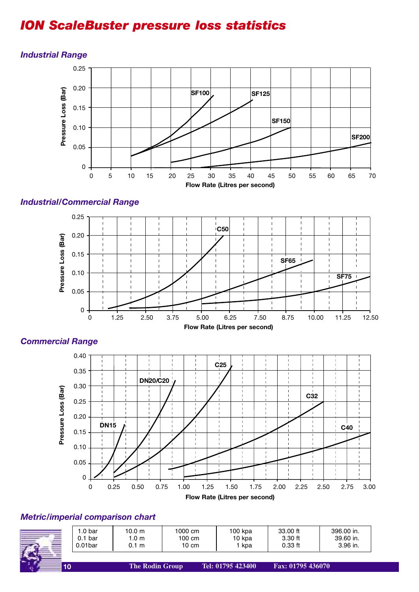## *ION ScaleBuster pressure loss statistics*



#### *Industrial Range*

## *Industrial/Commercial Range*



#### **Flow Rate (Litres per second)**



### *Commercial Range*

## *Metric/imperial comparison chart*

| .0 bar              | 10.0 m | 1000 cm | 100 kpa | 33.00 ft  | 396.00 in. |
|---------------------|--------|---------|---------|-----------|------------|
| 0.1 <sub>bar</sub>  | .0 m   | 100 cm  | 10 kpa  | 3.30 ft   | 39.60 in.  |
| 0.01 <sub>bar</sub> | 1 m    | 10 cm   | kpa     | $0.33$ ft | 3.96 in.   |
|                     |        |         |         |           |            |